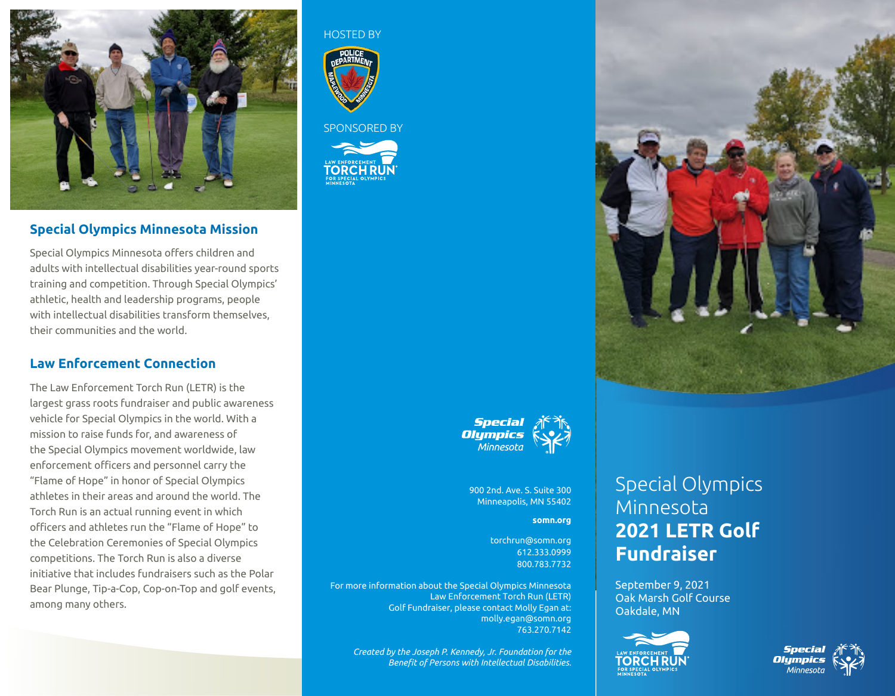

## **Special Olympics Minnesota Mission**

Special Olympics Minnesota offers children and adults with intellectual disabilities year-round sports training and competition. Through Special Olympics' athletic, health and leadership programs, people with intellectual disabilities transform themselves, their communities and the world.

## **Law Enforcement Connection**

The Law Enforcement Torch Run (LETR) is the largest grass roots fundraiser and public awareness vehicle for Special Olympics in the world. With a mission to raise funds for, and awareness of the Special Olympics movement worldwide, law enforcement officers and personnel carry the "Flame of Hope" in honor of Special Olympics athletes in their areas and around the world. The Torch Run is an actual running event in which officers and athletes run the "Flame of Hope" to the Celebration Ceremonies of Special Olympics competitions. The Torch Run is also a diverse initiative that includes fundraisers such as the Polar Bear Plunge, Tip-a-Cop, Cop-on-Top and golf events, among many others.

HOSTED BY



#### SPONSORED BY







900 2nd. Ave. S. Suite 300 Minneapolis, MN 55402

#### **somn.org**

torchrun@somn.org 612.333.0999 800.783.7732

For more information about the Special Olympics Minnesota Law Enforcement Torch Run (LETR) Golf Fundraiser, please contact Molly Egan at: molly.egan@somn.org 763.270.7142

*Created by the Joseph P. Kennedy, Jr. Foundation for the Benefit of Persons with Intellectual Disabilities.*

# Special Olympics Minnesota **2021 LETR Golf Fundraiser**

September 9, 2021 Oak Marsh Golf Course Oakdale, MN